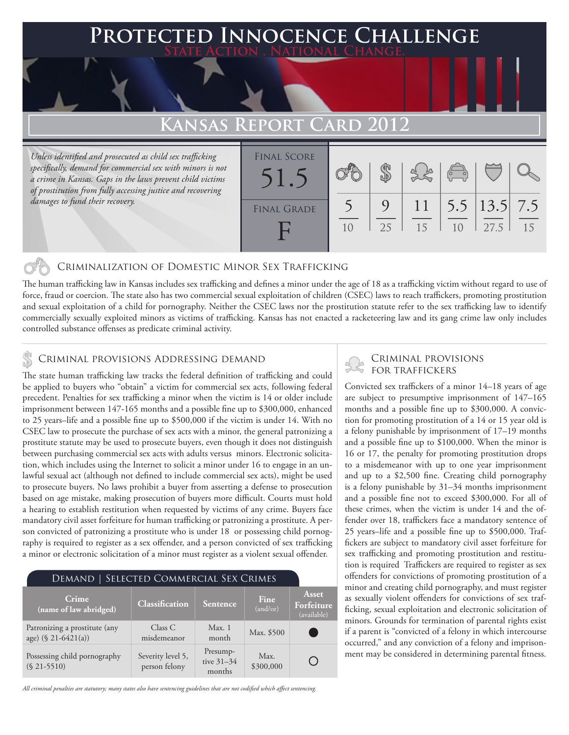### **FED INNOCENCE CHALLENGE State Action . National Change.**

## **KANSAS REPORT**

*Unless identified and prosecuted as child sex trafficking specifically, demand for commercial sex with minors is not a crime in Kansas. Gaps in the laws prevent child victims of prostitution from fully accessing justice and recovering damages to fund their recovery.*

| <b>FINAL SCORE</b> |    |                  | $\sqrt{\circ}$ |                                        |    |
|--------------------|----|------------------|----------------|----------------------------------------|----|
| <b>FINAL GRADE</b> |    | $\left(1\right)$ |                | $\vert 5.5 \vert 13.5 \vert 7.5 \vert$ |    |
|                    | 25 | 15               | 1 <sub>0</sub> | 27.5                                   | 15 |

### Criminalization of Domestic Minor Sex Trafficking

The human trafficking law in Kansas includes sex trafficking and defines a minor under the age of 18 as a trafficking victim without regard to use of force, fraud or coercion. The state also has two commercial sexual exploitation of children (CSEC) laws to reach traffickers, promoting prostitution and sexual exploitation of a child for pornography. Neither the CSEC laws nor the prostitution statute refer to the sex trafficking law to identify commercially sexually exploited minors as victims of trafficking. Kansas has not enacted a racketeering law and its gang crime law only includes controlled substance offenses as predicate criminal activity.

## CRIMINAL PROVISIONS ADDRESSING DEMAND<br>FOR TRAFFICKERS & CRIMINAL PROVISIONS ADDRESSING DEMAND

The state human trafficking law tracks the federal definition of trafficking and could be applied to buyers who "obtain" a victim for commercial sex acts, following federal precedent. Penalties for sex trafficking a minor when the victim is 14 or older include imprisonment between 147-165 months and a possible fine up to \$300,000, enhanced to 25 years–life and a possible fine up to \$500,000 if the victim is under 14. With no CSEC law to prosecute the purchase of sex acts with a minor, the general patronizing a prostitute statute may be used to prosecute buyers, even though it does not distinguish between purchasing commercial sex acts with adults versus minors. Electronic solicitation, which includes using the Internet to solicit a minor under 16 to engage in an unlawful sexual act (although not defined to include commercial sex acts), might be used to prosecute buyers. No laws prohibit a buyer from asserting a defense to prosecution based on age mistake, making prosecution of buyers more difficult. Courts must hold a hearing to establish restitution when requested by victims of any crime. Buyers face mandatory civil asset forfeiture for human trafficking or patronizing a prostitute. A person convicted of patronizing a prostitute who is under 18 or possessing child pornography is required to register as a sex offender, and a person convicted of sex trafficking a minor or electronic solicitation of a minor must register as a violent sexual offender.

| DEMAND   SELECTED COMMERCIAL SEX CRIMES              |                                    |                                    |                   |                                           |  |  |  |  |
|------------------------------------------------------|------------------------------------|------------------------------------|-------------------|-------------------------------------------|--|--|--|--|
| Crime<br>(name of law abridged)                      | <b>Classification</b>              | Sentence                           | Fine<br>(and/or)  | <b>Asset</b><br>Forfeiture<br>(available) |  |  |  |  |
| Patronizing a prostitute (any<br>age) (§ 21-6421(a)) | Class C<br>misdemeanor             | Max.1<br>month                     | Max. \$500        |                                           |  |  |  |  |
| Possessing child pornography<br>$(S 21 - 5510)$      | Severity level 5,<br>person felony | Presump-<br>tive $31-34$<br>months | Max.<br>\$300,000 |                                           |  |  |  |  |

*All criminal penalties are statutory; many states also have sentencing guidelines that are not codified which affect sentencing.* 

# Criminal provisions

Convicted sex traffickers of a minor 14–18 years of age are subject to presumptive imprisonment of 147–165 months and a possible fine up to \$300,000. A conviction for promoting prostitution of a 14 or 15 year old is a felony punishable by imprisonment of 17–19 months and a possible fine up to \$100,000. When the minor is 16 or 17, the penalty for promoting prostitution drops to a misdemeanor with up to one year imprisonment and up to a \$2,500 fine. Creating child pornography is a felony punishable by 31–34 months imprisonment and a possible fine not to exceed \$300,000. For all of these crimes, when the victim is under 14 and the offender over 18, traffickers face a mandatory sentence of 25 years–life and a possible fine up to \$500,000. Traffickers are subject to mandatory civil asset forfeiture for sex trafficking and promoting prostitution and restitution is required Traffickers are required to register as sex offenders for convictions of promoting prostitution of a minor and creating child pornography, and must register as sexually violent offenders for convictions of sex trafficking, sexual exploitation and electronic solicitation of minors. Grounds for termination of parental rights exist if a parent is "convicted of a felony in which intercourse occurred," and any conviction of a felony and imprisonment may be considered in determining parental fitness.